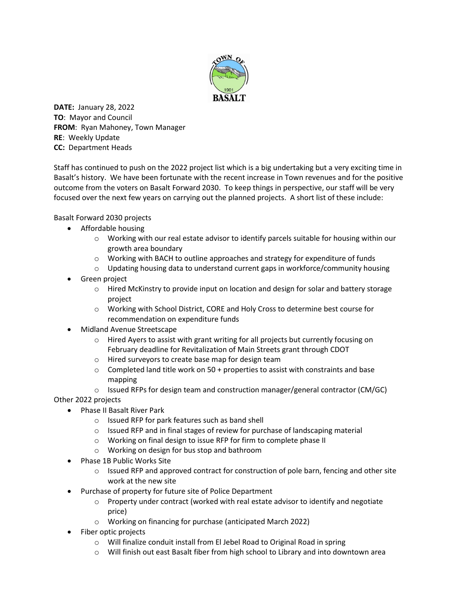

**DATE:** January 28, 2022 **TO**: Mayor and Council **FROM**: Ryan Mahoney, Town Manager **RE**: Weekly Update **CC:** Department Heads

Staff has continued to push on the 2022 project list which is a big undertaking but a very exciting time in Basalt's history. We have been fortunate with the recent increase in Town revenues and for the positive outcome from the voters on Basalt Forward 2030. To keep things in perspective, our staff will be very focused over the next few years on carrying out the planned projects. A short list of these include:

Basalt Forward 2030 projects

- Affordable housing
	- o Working with our real estate advisor to identify parcels suitable for housing within our growth area boundary
	- o Working with BACH to outline approaches and strategy for expenditure of funds
	- $\circ$  Updating housing data to understand current gaps in workforce/community housing
- Green project
	- o Hired McKinstry to provide input on location and design for solar and battery storage project
	- o Working with School District, CORE and Holy Cross to determine best course for recommendation on expenditure funds
- Midland Avenue Streetscape
	- $\circ$  Hired Ayers to assist with grant writing for all projects but currently focusing on February deadline for Revitalization of Main Streets grant through CDOT
	- o Hired surveyors to create base map for design team
	- $\circ$  Completed land title work on 50 + properties to assist with constraints and base mapping

 $\circ$  Issued RFPs for design team and construction manager/general contractor (CM/GC)

Other 2022 projects

- Phase II Basalt River Park
	- o Issued RFP for park features such as band shell
	- $\circ$  Issued RFP and in final stages of review for purchase of landscaping material
	- o Working on final design to issue RFP for firm to complete phase II
	- o Working on design for bus stop and bathroom
- Phase 1B Public Works Site
	- $\circ$  Issued RFP and approved contract for construction of pole barn, fencing and other site work at the new site
	- Purchase of property for future site of Police Department
		- $\circ$  Property under contract (worked with real estate advisor to identify and negotiate price)
		- o Working on financing for purchase (anticipated March 2022)
- Fiber optic projects
	- o Will finalize conduit install from El Jebel Road to Original Road in spring
	- $\circ$  Will finish out east Basalt fiber from high school to Library and into downtown area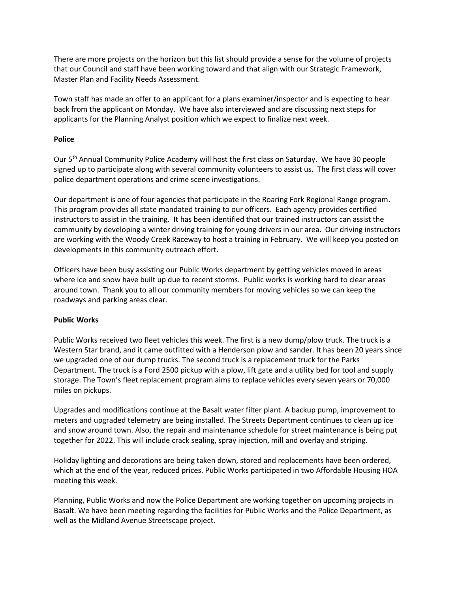There are more projects on the horizon but this list should provide a sense for the volume of projects that our Council and staff have been working toward and that align with our Strategic Framework, Master Plan and Facility Needs Assessment.

Town staff has made an offer to an applicant for a plans examiner/inspector and is expecting to hear back from the applicant on Monday. We have also interviewed and are discussing next steps for applicants for the Planning Analyst position which we expect to finalize next week.

## **Police**

Our 5<sup>th</sup> Annual Community Police Academy will host the first class on Saturday. We have 30 people signed up to participate along with several community volunteers to assist us. The first class will cover police department operations and crime scene investigations.

Our department is one of four agencies that participate in the Roaring Fork Regional Range program. This program provides all state mandated training to our officers. Each agency provides certified instructors to assist in the training. It has been identified that our trained instructors can assist the community by developing a winter driving training for young drivers in our area. Our driving instructors are working with the Woody Creek Raceway to host a training in February. We will keep you posted on developments in this community outreach effort.

Officers have been busy assisting our Public Works department by getting vehicles moved in areas where ice and snow have built up due to recent storms. Public works is working hard to clear areas around town. Thank you to all our community members for moving vehicles so we can keep the roadways and parking areas clear.

## **Public Works**

Public Works received two fleet vehicles this week. The first is a new dump/plow truck. The truck is a Western Star brand, and it came outfitted with a Henderson plow and sander. It has been 20 years since we upgraded one of our dump trucks. The second truck is a replacement truck for the Parks Department. The truck is a Ford 2500 pickup with a plow, lift gate and a utility bed for tool and supply storage. The Town's fleet replacement program aims to replace vehicles every seven years or 70,000 miles on pickups.

Upgrades and modifications continue at the Basalt water filter plant. A backup pump, improvement to meters and upgraded telemetry are being installed. The Streets Department continues to clean up ice and snow around town. Also, the repair and maintenance schedule for street maintenance is being put together for 2022. This will include crack sealing, spray injection, mill and overlay and striping.

Holiday lighting and decorations are being taken down, stored and replacements have been ordered, which at the end of the year, reduced prices. Public Works participated in two Affordable Housing HOA meeting this week.

Planning, Public Works and now the Police Department are working together on upcoming projects in Basalt. We have been meeting regarding the facilities for Public Works and the Police Department, as well as the Midland Avenue Streetscape project.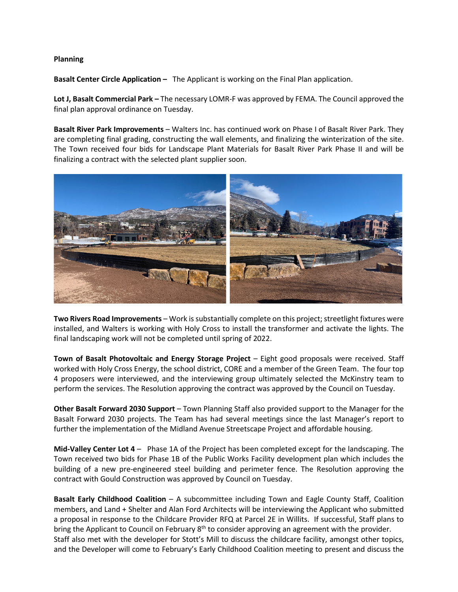## **Planning**

**Basalt Center Circle Application –** The Applicant is working on the Final Plan application.

**Lot J, Basalt Commercial Park –** The necessary LOMR-F was approved by FEMA. The Council approved the final plan approval ordinance on Tuesday.

**Basalt River Park Improvements** – Walters Inc. has continued work on Phase I of Basalt River Park. They are completing final grading, constructing the wall elements, and finalizing the winterization of the site. The Town received four bids for Landscape Plant Materials for Basalt River Park Phase II and will be finalizing a contract with the selected plant supplier soon.



**Two Rivers Road Improvements** – Work is substantially complete on this project; streetlight fixtures were installed, and Walters is working with Holy Cross to install the transformer and activate the lights. The final landscaping work will not be completed until spring of 2022.

**Town of Basalt Photovoltaic and Energy Storage Project** – Eight good proposals were received. Staff worked with Holy Cross Energy, the school district, CORE and a member of the Green Team. The four top 4 proposers were interviewed, and the interviewing group ultimately selected the McKinstry team to perform the services. The Resolution approving the contract was approved by the Council on Tuesday.

**Other Basalt Forward 2030 Support** – Town Planning Staff also provided support to the Manager for the Basalt Forward 2030 projects. The Team has had several meetings since the last Manager's report to further the implementation of the Midland Avenue Streetscape Project and affordable housing.

**Mid-Valley Center Lot 4** – Phase 1A of the Project has been completed except for the landscaping. The Town received two bids for Phase 1B of the Public Works Facility development plan which includes the building of a new pre-engineered steel building and perimeter fence. The Resolution approving the contract with Gould Construction was approved by Council on Tuesday.

**Basalt Early Childhood Coalition** – A subcommittee including Town and Eagle County Staff, Coalition members, and Land + Shelter and Alan Ford Architects will be interviewing the Applicant who submitted a proposal in response to the Childcare Provider RFQ at Parcel 2E in Willits. If successful, Staff plans to bring the Applicant to Council on February 8<sup>th</sup> to consider approving an agreement with the provider. Staff also met with the developer for Stott's Mill to discuss the childcare facility, amongst other topics, and the Developer will come to February's Early Childhood Coalition meeting to present and discuss the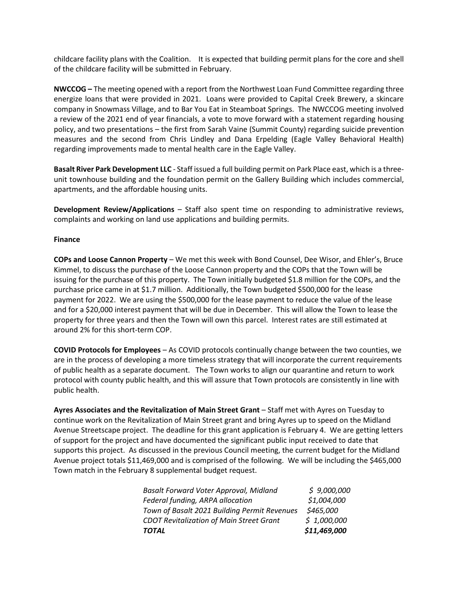childcare facility plans with the Coalition. It is expected that building permit plans for the core and shell of the childcare facility will be submitted in February.

**NWCCOG –** The meeting opened with a report from the Northwest Loan Fund Committee regarding three energize loans that were provided in 2021. Loans were provided to Capital Creek Brewery, a skincare company in Snowmass Village, and to Bar You Eat in Steamboat Springs. The NWCCOG meeting involved a review of the 2021 end of year financials, a vote to move forward with a statement regarding housing policy, and two presentations – the first from Sarah Vaine (Summit County) regarding suicide prevention measures and the second from Chris Lindley and Dana Erpelding (Eagle Valley Behavioral Health) regarding improvements made to mental health care in the Eagle Valley.

**Basalt River Park Development LLC** - Staff issued a full building permit on Park Place east, which is a threeunit townhouse building and the foundation permit on the Gallery Building which includes commercial, apartments, and the affordable housing units.

**Development Review/Applications** – Staff also spent time on responding to administrative reviews, complaints and working on land use applications and building permits.

## **Finance**

**COPs and Loose Cannon Property** – We met this week with Bond Counsel, Dee Wisor, and Ehler's, Bruce Kimmel, to discuss the purchase of the Loose Cannon property and the COPs that the Town will be issuing for the purchase of this property. The Town initially budgeted \$1.8 million for the COPs, and the purchase price came in at \$1.7 million. Additionally, the Town budgeted \$500,000 for the lease payment for 2022. We are using the \$500,000 for the lease payment to reduce the value of the lease and for a \$20,000 interest payment that will be due in December. This will allow the Town to lease the property for three years and then the Town will own this parcel. Interest rates are still estimated at around 2% for this short-term COP.

**COVID Protocols for Employees** – As COVID protocols continually change between the two counties, we are in the process of developing a more timeless strategy that will incorporate the current requirements of public health as a separate document. The Town works to align our quarantine and return to work protocol with county public health, and this will assure that Town protocols are consistently in line with public health.

**Ayres Associates and the Revitalization of Main Street Grant** – Staff met with Ayres on Tuesday to continue work on the Revitalization of Main Street grant and bring Ayres up to speed on the Midland Avenue Streetscape project. The deadline for this grant application is February 4. We are getting letters of support for the project and have documented the significant public input received to date that supports this project. As discussed in the previous Council meeting, the current budget for the Midland Avenue project totals \$11,469,000 and is comprised of the following. We will be including the \$465,000 Town match in the February 8 supplemental budget request.

| TOTAL                                           | \$11,469,000 |
|-------------------------------------------------|--------------|
| <b>CDOT Revitalization of Main Street Grant</b> | \$1,000,000  |
| Town of Basalt 2021 Building Permit Revenues    | \$465,000    |
| Federal funding, ARPA allocation                | \$1,004,000  |
| <b>Basalt Forward Voter Approval, Midland</b>   | \$9,000,000  |